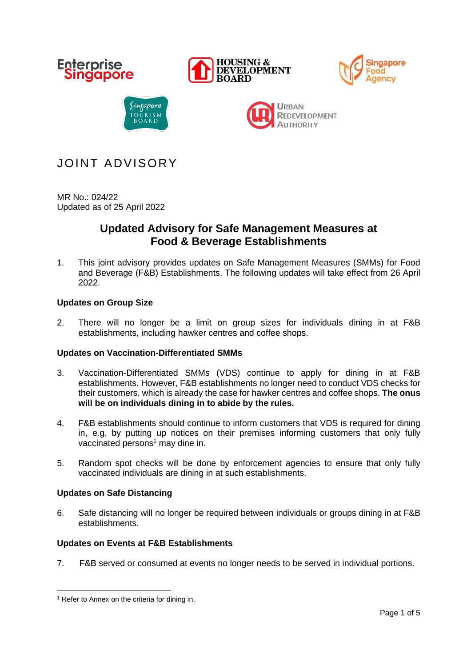

# JOINT ADVISORY

MR No.: 024/22 Updated as of 25 April 2022

## **Updated Advisory for Safe Management Measures at Food & Beverage Establishments**

1. This joint advisory provides updates on Safe Management Measures (SMMs) for Food and Beverage (F&B) Establishments. The following updates will take effect from 26 April 2022.

## **Updates on Group Size**

2. There will no longer be a limit on group sizes for individuals dining in at F&B establishments, including hawker centres and coffee shops.

## **Updates on Vaccination-Differentiated SMMs**

- 3. Vaccination-Differentiated SMMs (VDS) continue to apply for dining in at F&B establishments. However, F&B establishments no longer need to conduct VDS checks for their customers, which is already the case for hawker centres and coffee shops. **The onus will be on individuals dining in to abide by the rules.**
- 4. F&B establishments should continue to inform customers that VDS is required for dining in, e.g. by putting up notices on their premises informing customers that only fully vaccinated persons $<sup>1</sup>$  may dine in.</sup>
- 5. Random spot checks will be done by enforcement agencies to ensure that only fully vaccinated individuals are dining in at such establishments.

## **Updates on Safe Distancing**

6. Safe distancing will no longer be required between individuals or groups dining in at F&B establishments.

## **Updates on Events at F&B Establishments**

7. F&B served or consumed at events no longer needs to be served in individual portions.

<sup>&</sup>lt;sup>1</sup> Refer to Annex on the criteria for dining in.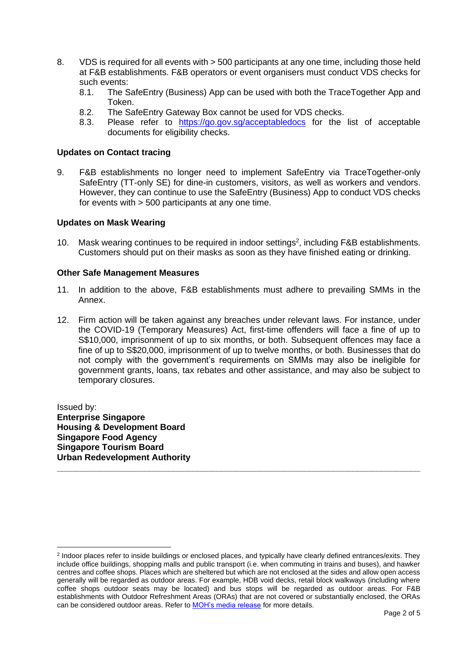- 8. VDS is required for all events with > 500 participants at any one time, including those held at F&B establishments. F&B operators or event organisers must conduct VDS checks for such events:<br>8.1. The S
	- The SafeEntry (Business) App can be used with both the TraceTogether App and Token.
	- 8.2. The SafeEntry Gateway Box cannot be used for VDS checks.
	- 8.3. Please refer to <https://go.gov.sg/acceptabledocs> for the list of acceptable documents for eligibility checks.

### **Updates on Contact tracing**

9. F&B establishments no longer need to implement SafeEntry via TraceTogether-only SafeEntry (TT-only SE) for dine-in customers, visitors, as well as workers and vendors. However, they can continue to use the SafeEntry (Business) App to conduct VDS checks for events with > 500 participants at any one time.

#### **Updates on Mask Wearing**

10. Mask wearing continues to be required in indoor settings<sup>2</sup>, including  $F&B$  establishments. Customers should put on their masks as soon as they have finished eating or drinking.

#### **Other Safe Management Measures**

- 11. In addition to the above, F&B establishments must adhere to prevailing SMMs in the Annex.
- 12. Firm action will be taken against any breaches under relevant laws. For instance, under the COVID-19 (Temporary Measures) Act, first-time offenders will face a fine of up to S\$10,000, imprisonment of up to six months, or both. Subsequent offences may face a fine of up to S\$20,000, imprisonment of up to twelve months, or both. Businesses that do not comply with the government's requirements on SMMs may also be ineligible for government grants, loans, tax rebates and other assistance, and may also be subject to temporary closures.

Issued by: **Enterprise Singapore Housing & Development Board Singapore Food Agency Singapore Tourism Board Urban Redevelopment Authority**

**\_\_\_\_\_\_\_\_\_\_\_\_\_\_\_\_\_\_\_\_\_\_\_\_\_\_\_\_\_\_\_\_\_\_\_\_\_\_\_\_\_\_\_\_\_\_\_\_\_\_\_\_\_\_\_\_\_\_\_\_\_\_\_\_\_\_\_\_\_\_\_\_\_\_\_**

<sup>2</sup> Indoor places refer to inside buildings or enclosed places, and typically have clearly defined entrances/exits. They include office buildings, shopping malls and public transport (i.e. when commuting in trains and buses), and hawker centres and coffee shops. Places which are sheltered but which are not enclosed at the sides and allow open access generally will be regarded as outdoor areas. For example, HDB void decks, retail block walkways (including where coffee shops outdoor seats may be located) and bus stops will be regarded as outdoor areas. For F&B establishments with Outdoor Refreshment Areas (ORAs) that are not covered or substantially enclosed, the ORAs can be considered outdoor areas. Refer to [MOH's media release](https://www.moh.gov.sg/news-highlights/details/easing-of-community-smms-and-border-measures) for more details.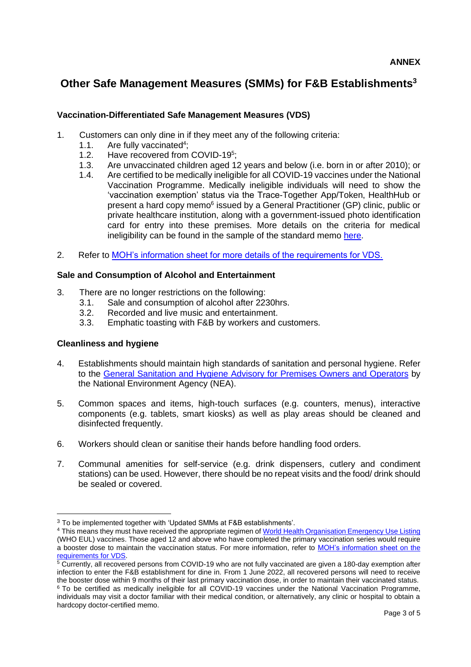## **Other Safe Management Measures (SMMs) for F&B Establishments<sup>3</sup>**

## **Vaccination-Differentiated Safe Management Measures (VDS)**

- 1. Customers can only dine in if they meet any of the following criteria:
	- 1.1. Are fully vaccinated<sup>4</sup>;
	- 1.2. Have recovered from COVID-19<sup>5</sup>;
	- 1.3. Are unvaccinated children aged 12 years and below (i.e. born in or after 2010); or
	- 1.4. Are certified to be medically ineligible for all COVID-19 vaccines under the National Vaccination Programme. Medically ineligible individuals will need to show the 'vaccination exemption' status via the Trace-Together App/Token, HealthHub or present a hard copy memo<sup>6</sup> issued by a General Practitioner (GP) clinic, public or private healthcare institution, along with a government-issued photo identification card for entry into these premises. More details on the criteria for medical ineligibility can be found in the sample of the standard memo [here.](https://go.gov.sg/acceptabledocs)
- 2. Refer to [MOH's information sheet for more details of the requirements for VDS.](https://go.gov.sg/vdsmminfo)

## **Sale and Consumption of Alcohol and Entertainment**

- 3. There are no longer restrictions on the following:
	- 3.1. Sale and consumption of alcohol after 2230hrs.
	- 3.2. Recorded and live music and entertainment.
	- 3.3. Emphatic toasting with F&B by workers and customers.

## **Cleanliness and hygiene**

- 4. Establishments should maintain high standards of sanitation and personal hygiene. Refer to the [General Sanitation and Hygiene Advisory for Premises Owners and Operators](https://www.nea.gov.sg/our-services/public-cleanliness/environmental-cleaning-guidelines/advisories/general-sanitation-and-hygiene-advisory-for-premises-owners-and-operators) by the National Environment Agency (NEA).
- 5. Common spaces and items, high-touch surfaces (e.g. counters, menus), interactive components (e.g. tablets, smart kiosks) as well as play areas should be cleaned and disinfected frequently.
- 6. Workers should clean or sanitise their hands before handling food orders.
- 7. Communal amenities for self-service (e.g. drink dispensers, cutlery and condiment stations) can be used. However, there should be no repeat visits and the food/ drink should be sealed or covered.

<sup>&</sup>lt;sup>3</sup> To be implemented together with 'Updated SMMs at F&B establishments'.

<sup>4</sup> This means they must have received the appropriate regimen of [World Health Organisation Emergency Use Listing](https://www.who.int/emergencies/diseases/novel-coronavirus-2019/covid-19-vaccines) (WHO EUL) vaccines. Those aged 12 and above who have completed the primary vaccination series would require a booster dose to maintain the vaccination status. For more information, refer to [MOH's information sheet on the](https://go.gov.sg/vdsmminfo)  [requirements for VDS.](https://go.gov.sg/vdsmminfo)

<sup>5</sup> Currently, all recovered persons from COVID-19 who are not fully vaccinated are given a 180-day exemption after infection to enter the F&B establishment for dine in. From 1 June 2022, all recovered persons will need to receive the booster dose within 9 months of their last primary vaccination dose, in order to maintain their vaccinated status. <sup>6</sup> To be certified as medically ineligible for all COVID-19 vaccines under the National Vaccination Programme, individuals may visit a doctor familiar with their medical condition, or alternatively, any clinic or hospital to obtain a hardcopy doctor-certified memo.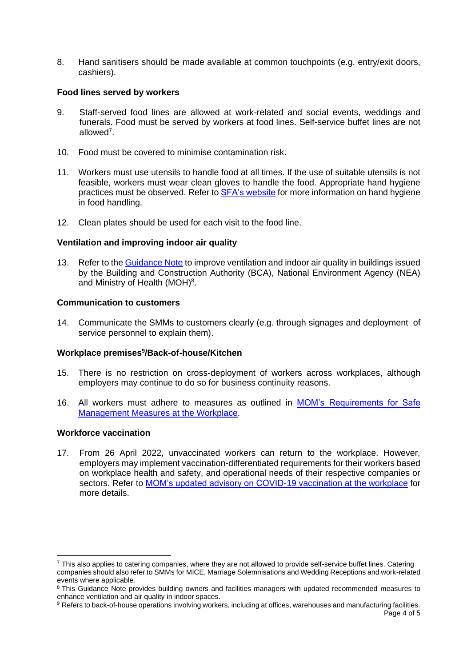8. Hand sanitisers should be made available at common touchpoints (e.g. entry/exit doors, cashiers).

## **Food lines served by workers**

- 9. Staff-served food lines are allowed at work-related and social events, weddings and funerals. Food must be served by workers at food lines. Self-service buffet lines are not allowed<sup>7</sup>.
- 10. Food must be covered to minimise contamination risk.
- 11. Workers must use utensils to handle food at all times. If the use of suitable utensils is not feasible, workers must wear clean gloves to handle the food. Appropriate hand hygiene practices must be observed. Refer to **SFA's website** for more information on hand hygiene in food handling.
- 12. Clean plates should be used for each visit to the food line.

## **Ventilation and improving indoor air quality**

13. Refer to the [Guidance Note](https://go.gov.sg/bca-nea-moh-guidance-improve-ventilation) to improve ventilation and indoor air quality in buildings issued by the Building and Construction Authority (BCA), National Environment Agency (NEA) and Ministry of Health (MOH)<sup>8</sup>.

### **Communication to customers**

14. Communicate the SMMs to customers clearly (e.g. through signages and deployment of service personnel to explain them).

## **Workplace premises<sup>9</sup> /Back-of-house/Kitchen**

- 15. There is no restriction on cross-deployment of workers across workplaces, although employers may continue to do so for business continuity reasons.
- 16. All workers must adhere to measures as outlined in [MOM's Requirements for Safe](https://www.mom.gov.sg/covid-19/requirements-for-safe-management-measures)  [Management Measures at the Workplace.](https://www.mom.gov.sg/covid-19/requirements-for-safe-management-measures)

## **Workforce vaccination**

17. From 26 April 2022, unvaccinated workers can return to the workplace. However, employers may implement vaccination-differentiated requirements for their workers based on workplace health and safety, and operational needs of their respective companies or sectors. Refer to [MOM's updated advisory on COVID-19 vaccination at the workplace](https://www.mom.gov.sg/covid-19/advisory-on-covid-19-vaccination-in-employment-settings) for more details.

9 Refers to back-of-house operations involving workers, including at offices, warehouses and manufacturing facilities.

<sup>&</sup>lt;sup>7</sup> This also applies to catering companies, where they are not allowed to provide self-service buffet lines. Catering companies should also refer to SMMs for MICE, Marriage Solemnisations and Wedding Receptions and work-related events where applicable.

<sup>&</sup>lt;sup>8</sup> This Guidance Note provides building owners and facilities managers with updated recommended measures to enhance ventilation and air quality in indoor spaces.